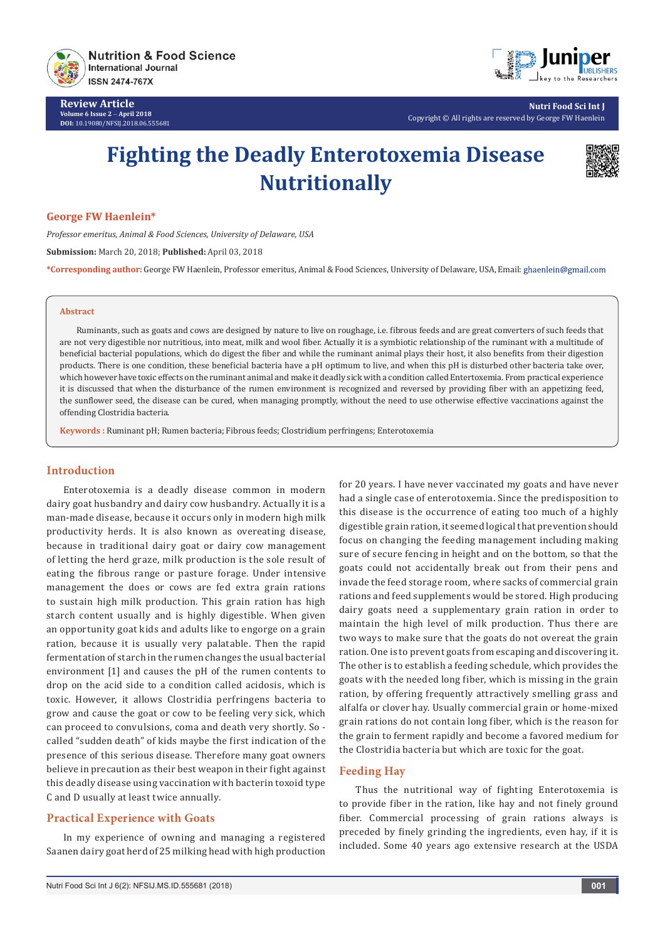

**Review Article Volume 6 Issue 2** - **April 2018 DOI:** [10.19080/NFSIJ.2018.06.555681](http://dx.doi.org/10.19080/NFSIJ.2018.06.555681)



**Nutri Food Sci Int J** Copyright © All rights are reserved by George FW Haenlein

# **Fighting the Deadly Enterotoxemia Disease Nutritionally**



#### **George FW Haenlein\***

*Professor emeritus, Animal & Food Sciences, University of Delaware, USA*

**Submission:** March 20, 2018; **Published:** April 03, 2018

**\*Corresponding author:** George FW Haenlein, Professor emeritus, Animal & Food Sciences, University of Delaware, USA, Email:

### **Abstract**

Ruminants, such as goats and cows are designed by nature to live on roughage, i.e. fibrous feeds and are great converters of such feeds that are not very digestible nor nutritious, into meat, milk and wool fiber. Actually it is a symbiotic relationship of the ruminant with a multitude of beneficial bacterial populations, which do digest the fiber and while the ruminant animal plays their host, it also benefits from their digestion products. There is one condition, these beneficial bacteria have a pH optimum to live, and when this pH is disturbed other bacteria take over, which however have toxic effects on the ruminant animal and make it deadly sick with a condition called Entertoxemia. From practical experience it is discussed that when the disturbance of the rumen environment is recognized and reversed by providing fiber with an appetizing feed, the sunflower seed, the disease can be cured, when managing promptly, without the need to use otherwise effective vaccinations against the offending Clostridia bacteria.

**Keywords :** Ruminant pH; Rumen bacteria; Fibrous feeds; Clostridium perfringens; Enterotoxemia

## **Introduction**

Enterotoxemia is a deadly disease common in modern dairy goat husbandry and dairy cow husbandry. Actually it is a man-made disease, because it occurs only in modern high milk productivity herds. It is also known as overeating disease, because in traditional dairy goat or dairy cow management of letting the herd graze, milk production is the sole result of eating the fibrous range or pasture forage. Under intensive management the does or cows are fed extra grain rations to sustain high milk production. This grain ration has high starch content usually and is highly digestible. When given an opportunity goat kids and adults like to engorge on a grain ration, because it is usually very palatable. Then the rapid fermentation of starch in the rumen changes the usual bacterial environment [1] and causes the pH of the rumen contents to drop on the acid side to a condition called acidosis, which is toxic. However, it allows Clostridia perfringens bacteria to grow and cause the goat or cow to be feeling very sick, which can proceed to convulsions, coma and death very shortly. So called "sudden death" of kids maybe the first indication of the presence of this serious disease. Therefore many goat owners believe in precaution as their best weapon in their fight against this deadly disease using vaccination with bacterin toxoid type C and D usually at least twice annually.

## **Practical Experience with Goats**

In my experience of owning and managing a registered Saanen dairy goat herd of 25 milking head with high production for 20 years. I have never vaccinated my goats and have never had a single case of enterotoxemia. Since the predisposition to this disease is the occurrence of eating too much of a highly digestible grain ration, it seemed logical that prevention should focus on changing the feeding management including making sure of secure fencing in height and on the bottom, so that the goats could not accidentally break out from their pens and invade the feed storage room, where sacks of commercial grain rations and feed supplements would be stored. High producing dairy goats need a supplementary grain ration in order to maintain the high level of milk production. Thus there are two ways to make sure that the goats do not overeat the grain ration. One is to prevent goats from escaping and discovering it. The other is to establish a feeding schedule, which provides the goats with the needed long fiber, which is missing in the grain ration, by offering frequently attractively smelling grass and alfalfa or clover hay. Usually commercial grain or home-mixed grain rations do not contain long fiber, which is the reason for the grain to ferment rapidly and become a favored medium for the Clostridia bacteria but which are toxic for the goat.

## **Feeding Hay**

Thus the nutritional way of fighting Enterotoxemia is to provide fiber in the ration, like hay and not finely ground fiber. Commercial processing of grain rations always is preceded by finely grinding the ingredients, even hay, if it is included. Some 40 years ago extensive research at the USDA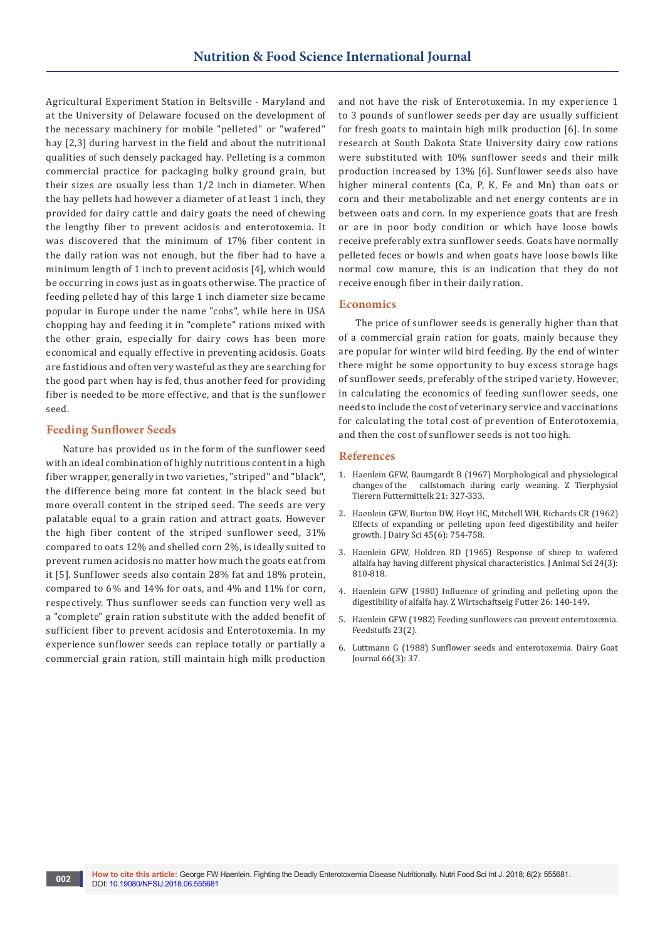Agricultural Experiment Station in Beltsville - Maryland and at the University of Delaware focused on the development of the necessary machinery for mobile "pelleted" or "wafered" hay [2,3] during harvest in the field and about the nutritional qualities of such densely packaged hay. Pelleting is a common commercial practice for packaging bulky ground grain, but their sizes are usually less than 1/2 inch in diameter. When the hay pellets had however a diameter of at least 1 inch, they provided for dairy cattle and dairy goats the need of chewing the lengthy fiber to prevent acidosis and enterotoxemia. It was discovered that the minimum of 17% fiber content in the daily ration was not enough, but the fiber had to have a minimum length of 1 inch to prevent acidosis [4], which would be occurring in cows just as in goats otherwise. The practice of feeding pelleted hay of this large 1 inch diameter size became popular in Europe under the name "cobs", while here in USA chopping hay and feeding it in "complete" rations mixed with the other grain, especially for dairy cows has been more economical and equally effective in preventing acidosis. Goats are fastidious and often very wasteful as they are searching for the good part when hay is fed, thus another feed for providing fiber is needed to be more effective, and that is the sunflower seed.

#### **Feeding Sunflower Seeds**

Nature has provided us in the form of the sunflower seed with an ideal combination of highly nutritious content in a high fiber wrapper, generally in two varieties, "striped" and "black", the difference being more fat content in the black seed but more overall content in the striped seed. The seeds are very palatable equal to a grain ration and attract goats. However the high fiber content of the striped sunflower seed, 31% compared to oats 12% and shelled corn 2%, is ideally suited to prevent rumen acidosis no matter how much the goats eat from it [5]. Sunflower seeds also contain 28% fat and 18% protein, compared to 6% and 14% for oats, and 4% and 11% for corn, respectively. Thus sunflower seeds can function very well as a "complete" grain ration substitute with the added benefit of sufficient fiber to prevent acidosis and Enterotoxemia. In my experience sunflower seeds can replace totally or partially a commercial grain ration, still maintain high milk production

and not have the risk of Enterotoxemia. In my experience 1 to 3 pounds of sunflower seeds per day are usually sufficient for fresh goats to maintain high milk production [6]. In some research at South Dakota State University dairy cow rations were substituted with 10% sunflower seeds and their milk production increased by 13% [6]. Sunflower seeds also have higher mineral contents (Ca, P, K, Fe and Mn) than oats or corn and their metabolizable and net energy contents are in between oats and corn. In my experience goats that are fresh or are in poor body condition or which have loose bowls receive preferably extra sunflower seeds. Goats have normally pelleted feces or bowls and when goats have loose bowls like normal cow manure, this is an indication that they do not receive enough fiber in their daily ration.

#### **Economics**

The price of sunflower seeds is generally higher than that of a commercial grain ration for goats, mainly because they are popular for winter wild bird feeding. By the end of winter there might be some opportunity to buy excess storage bags of sunflower seeds, preferably of the striped variety. However, in calculating the economics of feeding sunflower seeds, one needs to include the cost of veterinary service and vaccinations for calculating the total cost of prevention of Enterotoxemia, and then the cost of sunflower seeds is not too high.

#### **References**

- 1. Haenlein GFW, Baumgardt B (1967) Morphological and physiological changes of the calfstomach during early weaning. Z Tierphysiol calfstomach during early weaning. Z Tierphysiol Tierern Futtermittelk 21: 327-333.
- 2. [Haenlein GFW, Burton DW, Hoyt HC, Mitchell WH, Richards CR \(1962\)](http://www.journalofdairyscience.org/article/S0022-0302(62)89483-1/abstract)  [Effects of expanding or pelleting upon feed digestibility and heifer](http://www.journalofdairyscience.org/article/S0022-0302(62)89483-1/abstract)  [growth. J Dairy Sci 45\(6\): 754-758.](http://www.journalofdairyscience.org/article/S0022-0302(62)89483-1/abstract)
- 3. [Haenlein GFW, Holdren RD \(1965\) Response of sheep to wafered](https://academic.oup.com/jas/article/24/3/810/4701339)  [alfalfa hay having different physical characteristics. J Animal Sci 24\(3\):](https://academic.oup.com/jas/article/24/3/810/4701339)  [810-818.](https://academic.oup.com/jas/article/24/3/810/4701339)
- 4. Haenlein GFW (1980) Influence of grinding and pelleting upon the digestibility of alfalfa hay. Z Wirtschaftseig Futter 26: 140-149**.**
- 5. Haenlein GFW (1982) Feeding sunflowers can prevent enterotoxemia. Feedstuffs 23(2).
- 6. Luttmann G (1988) Sunflower seeds and enterotoxemia. Dairy Goat Journal 66(3): 37.